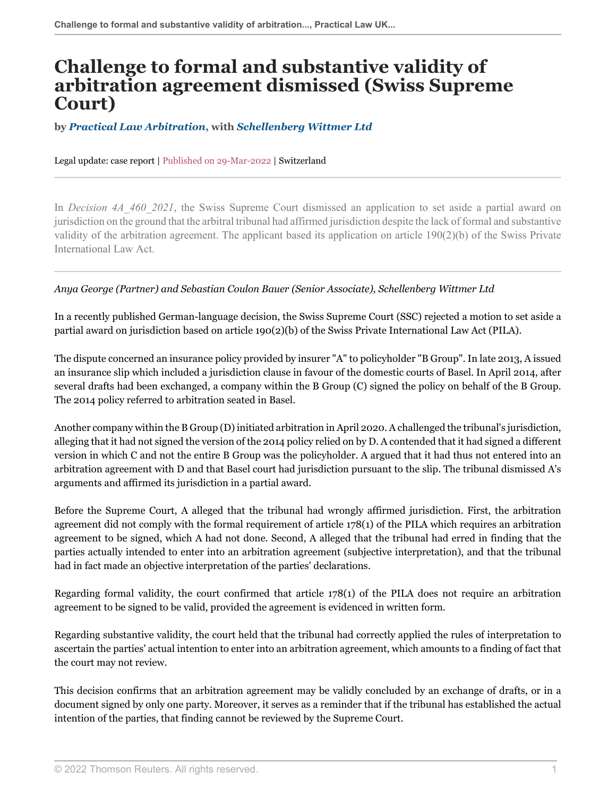## **Challenge to formal and substantive validity of arbitration agreement dismissed (Swiss Supreme Court)**

**by** *[Practical Law Arbitration](https://uk.practicallaw.thomsonreuters.com/Browse/Home/About/OurteamArbitration )***, with** *[Schellenberg Wittmer Ltd](https://www.swlegal.ch/en/ )*

Legal update: case report | Published on 29-Mar-2022 | Switzerland

In *Decision 4A\_460\_2021*, the Swiss Supreme Court dismissed an application to set aside a partial award on jurisdiction on the ground that the arbitral tribunal had affirmed jurisdiction despite the lack of formal and substantive validity of the arbitration agreement. The applicant based its application on article 190(2)(b) of the Swiss Private International Law Act.

## *Anya George (Partner) and Sebastian Coulon Bauer (Senior Associate), Schellenberg Wittmer Ltd*

In a recently published German-language decision, the Swiss Supreme Court (SSC) rejected a motion to set aside a partial award on jurisdiction based on article 190(2)(b) of the Swiss Private International Law Act (PILA).

The dispute concerned an insurance policy provided by insurer "A" to policyholder "B Group". In late 2013, A issued an insurance slip which included a jurisdiction clause in favour of the domestic courts of Basel. In April 2014, after several drafts had been exchanged, a company within the B Group (C) signed the policy on behalf of the B Group. The 2014 policy referred to arbitration seated in Basel.

Another company within the B Group (D) initiated arbitration in April 2020. A challenged the tribunal's jurisdiction, alleging that it had not signed the version of the 2014 policy relied on by D. A contended that it had signed a different version in which C and not the entire B Group was the policyholder. A argued that it had thus not entered into an arbitration agreement with D and that Basel court had jurisdiction pursuant to the slip. The tribunal dismissed A's arguments and affirmed its jurisdiction in a partial award.

Before the Supreme Court, A alleged that the tribunal had wrongly affirmed jurisdiction. First, the arbitration agreement did not comply with the formal requirement of article 178(1) of the PILA which requires an arbitration agreement to be signed, which A had not done. Second, A alleged that the tribunal had erred in finding that the parties actually intended to enter into an arbitration agreement (subjective interpretation), and that the tribunal had in fact made an objective interpretation of the parties' declarations.

Regarding formal validity, the court confirmed that article 178(1) of the PILA does not require an arbitration agreement to be signed to be valid, provided the agreement is evidenced in written form.

Regarding substantive validity, the court held that the tribunal had correctly applied the rules of interpretation to ascertain the parties' actual intention to enter into an arbitration agreement, which amounts to a finding of fact that the court may not review.

This decision confirms that an arbitration agreement may be validly concluded by an exchange of drafts, or in a document signed by only one party. Moreover, it serves as a reminder that if the tribunal has established the actual intention of the parties, that finding cannot be reviewed by the Supreme Court.